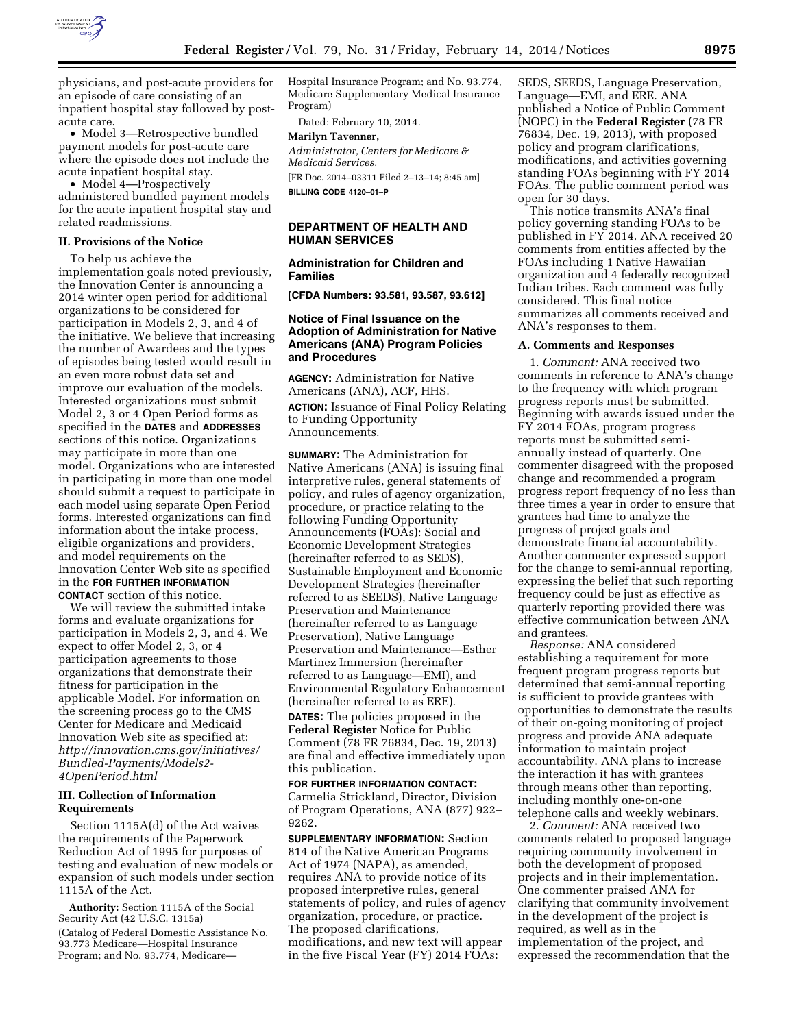

physicians, and post-acute providers for an episode of care consisting of an inpatient hospital stay followed by postacute care.

• Model 3—Retrospective bundled payment models for post-acute care where the episode does not include the acute inpatient hospital stay.

• Model 4—Prospectively administered bundled payment models for the acute inpatient hospital stay and related readmissions.

#### **II. Provisions of the Notice**

To help us achieve the implementation goals noted previously, the Innovation Center is announcing a 2014 winter open period for additional organizations to be considered for participation in Models 2, 3, and 4 of the initiative. We believe that increasing the number of Awardees and the types of episodes being tested would result in an even more robust data set and improve our evaluation of the models. Interested organizations must submit Model 2, 3 or 4 Open Period forms as specified in the **DATES** and **ADDRESSES** sections of this notice. Organizations may participate in more than one model. Organizations who are interested in participating in more than one model should submit a request to participate in each model using separate Open Period forms. Interested organizations can find information about the intake process, eligible organizations and providers, and model requirements on the Innovation Center Web site as specified in the **FOR FURTHER INFORMATION CONTACT** section of this notice.

We will review the submitted intake forms and evaluate organizations for participation in Models 2, 3, and 4. We expect to offer Model 2, 3, or 4 participation agreements to those organizations that demonstrate their fitness for participation in the applicable Model. For information on the screening process go to the CMS Center for Medicare and Medicaid Innovation Web site as specified at: *[http://innovation.cms.gov/initiatives/](http://innovation.cms.gov/initiatives/Bundled-Payments/Models2-4OpenPeriod.html) [Bundled-Payments/Models2-](http://innovation.cms.gov/initiatives/Bundled-Payments/Models2-4OpenPeriod.html)  [4OpenPeriod.html](http://innovation.cms.gov/initiatives/Bundled-Payments/Models2-4OpenPeriod.html)* 

### **III. Collection of Information Requirements**

Section 1115A(d) of the Act waives the requirements of the Paperwork Reduction Act of 1995 for purposes of testing and evaluation of new models or expansion of such models under section 1115A of the Act.

**Authority:** Section 1115A of the Social Security Act (42 U.S.C. 1315a) (Catalog of Federal Domestic Assistance No. 93.773 Medicare—Hospital Insurance Program; and No. 93.774, MedicareHospital Insurance Program; and No. 93.774, Medicare Supplementary Medical Insurance Program)

Dated: February 10, 2014.

# **Marilyn Tavenner,**

*Administrator, Centers for Medicare & Medicaid Services.* 

[FR Doc. 2014–03311 Filed 2–13–14; 8:45 am] **BILLING CODE 4120–01–P** 

## **DEPARTMENT OF HEALTH AND HUMAN SERVICES**

# **Administration for Children and Families**

**[CFDA Numbers: 93.581, 93.587, 93.612]** 

## **Notice of Final Issuance on the Adoption of Administration for Native Americans (ANA) Program Policies and Procedures**

**AGENCY:** Administration for Native Americans (ANA), ACF, HHS. **ACTION:** Issuance of Final Policy Relating to Funding Opportunity Announcements.

**SUMMARY:** The Administration for Native Americans (ANA) is issuing final interpretive rules, general statements of policy, and rules of agency organization, procedure, or practice relating to the following Funding Opportunity Announcements (FOAs): Social and Economic Development Strategies (hereinafter referred to as SEDS), Sustainable Employment and Economic Development Strategies (hereinafter referred to as SEEDS), Native Language Preservation and Maintenance (hereinafter referred to as Language Preservation), Native Language Preservation and Maintenance—Esther Martinez Immersion (hereinafter referred to as Language—EMI), and Environmental Regulatory Enhancement (hereinafter referred to as ERE).

**DATES:** The policies proposed in the **Federal Register** Notice for Public Comment (78 FR 76834, Dec. 19, 2013) are final and effective immediately upon this publication.

**FOR FURTHER INFORMATION CONTACT:**  Carmelia Strickland, Director, Division of Program Operations, ANA (877) 922– 9262.

**SUPPLEMENTARY INFORMATION:** Section 814 of the Native American Programs Act of 1974 (NAPA), as amended, requires ANA to provide notice of its proposed interpretive rules, general statements of policy, and rules of agency organization, procedure, or practice. The proposed clarifications, modifications, and new text will appear in the five Fiscal Year (FY) 2014 FOAs:

SEDS, SEEDS, Language Preservation, Language—EMI, and ERE. ANA published a Notice of Public Comment (NOPC) in the **Federal Register** (78 FR 76834, Dec. 19, 2013), with proposed policy and program clarifications, modifications, and activities governing standing FOAs beginning with FY 2014 FOAs. The public comment period was open for 30 days.

This notice transmits ANA's final policy governing standing FOAs to be published in FY 2014. ANA received 20 comments from entities affected by the FOAs including 1 Native Hawaiian organization and 4 federally recognized Indian tribes. Each comment was fully considered. This final notice summarizes all comments received and ANA's responses to them.

#### **A. Comments and Responses**

1. *Comment:* ANA received two comments in reference to ANA's change to the frequency with which program progress reports must be submitted. Beginning with awards issued under the FY 2014 FOAs, program progress reports must be submitted semiannually instead of quarterly. One commenter disagreed with the proposed change and recommended a program progress report frequency of no less than three times a year in order to ensure that grantees had time to analyze the progress of project goals and demonstrate financial accountability. Another commenter expressed support for the change to semi-annual reporting, expressing the belief that such reporting frequency could be just as effective as quarterly reporting provided there was effective communication between ANA and grantees.

*Response:* ANA considered establishing a requirement for more frequent program progress reports but determined that semi-annual reporting is sufficient to provide grantees with opportunities to demonstrate the results of their on-going monitoring of project progress and provide ANA adequate information to maintain project accountability. ANA plans to increase the interaction it has with grantees through means other than reporting, including monthly one-on-one telephone calls and weekly webinars.

2. *Comment:* ANA received two comments related to proposed language requiring community involvement in both the development of proposed projects and in their implementation. One commenter praised ANA for clarifying that community involvement in the development of the project is required, as well as in the implementation of the project, and expressed the recommendation that the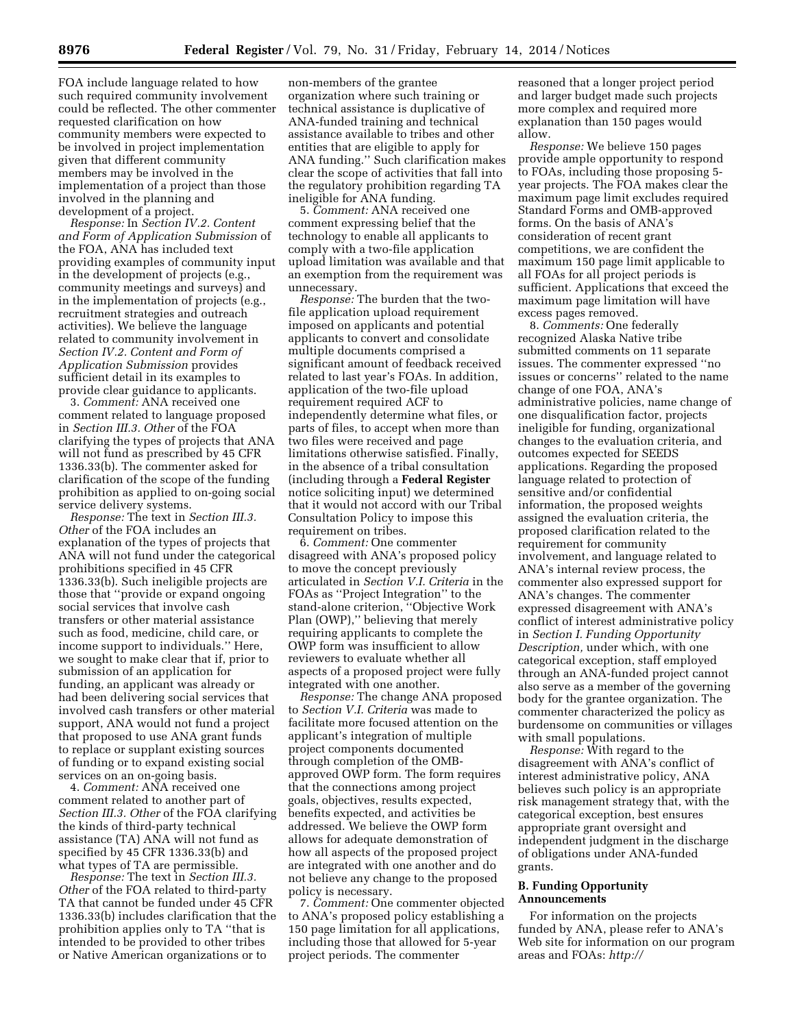FOA include language related to how such required community involvement could be reflected. The other commenter requested clarification on how community members were expected to be involved in project implementation given that different community members may be involved in the implementation of a project than those involved in the planning and development of a project.

*Response:* In *Section IV.2. Content and Form of Application Submission* of the FOA, ANA has included text providing examples of community input in the development of projects (e.g., community meetings and surveys) and in the implementation of projects (e.g., recruitment strategies and outreach activities). We believe the language related to community involvement in *Section IV.2. Content and Form of Application Submission* provides sufficient detail in its examples to provide clear guidance to applicants.

3. *Comment:* ANA received one comment related to language proposed in *Section III.3. Other* of the FOA clarifying the types of projects that ANA will not fund as prescribed by 45 CFR 1336.33(b). The commenter asked for clarification of the scope of the funding prohibition as applied to on-going social service delivery systems.

*Response:* The text in *Section III.3. Other* of the FOA includes an explanation of the types of projects that ANA will not fund under the categorical prohibitions specified in 45 CFR 1336.33(b). Such ineligible projects are those that ''provide or expand ongoing social services that involve cash transfers or other material assistance such as food, medicine, child care, or income support to individuals.'' Here, we sought to make clear that if, prior to submission of an application for funding, an applicant was already or had been delivering social services that involved cash transfers or other material support, ANA would not fund a project that proposed to use ANA grant funds to replace or supplant existing sources of funding or to expand existing social services on an on-going basis.

4. *Comment:* ANA received one comment related to another part of *Section III.3. Other* of the FOA clarifying the kinds of third-party technical assistance (TA) ANA will not fund as specified by 45 CFR 1336.33(b) and what types of TA are permissible.

*Response:* The text in *Section III.3. Other* of the FOA related to third-party TA that cannot be funded under 45 CFR 1336.33(b) includes clarification that the prohibition applies only to TA ''that is intended to be provided to other tribes or Native American organizations or to

non-members of the grantee organization where such training or technical assistance is duplicative of ANA-funded training and technical assistance available to tribes and other entities that are eligible to apply for ANA funding.'' Such clarification makes clear the scope of activities that fall into the regulatory prohibition regarding TA ineligible for ANA funding.

5. *Comment:* ANA received one comment expressing belief that the technology to enable all applicants to comply with a two-file application upload limitation was available and that an exemption from the requirement was unnecessary.

*Response:* The burden that the twofile application upload requirement imposed on applicants and potential applicants to convert and consolidate multiple documents comprised a significant amount of feedback received related to last year's FOAs. In addition, application of the two-file upload requirement required ACF to independently determine what files, or parts of files, to accept when more than two files were received and page limitations otherwise satisfied. Finally, in the absence of a tribal consultation (including through a **Federal Register**  notice soliciting input) we determined that it would not accord with our Tribal Consultation Policy to impose this requirement on tribes.

6. *Comment:* One commenter disagreed with ANA's proposed policy to move the concept previously articulated in *Section V.I. Criteria* in the FOAs as ''Project Integration'' to the stand-alone criterion, ''Objective Work Plan (OWP),'' believing that merely requiring applicants to complete the OWP form was insufficient to allow reviewers to evaluate whether all aspects of a proposed project were fully integrated with one another.

*Response:* The change ANA proposed to *Section V.I. Criteria* was made to facilitate more focused attention on the applicant's integration of multiple project components documented through completion of the OMBapproved OWP form. The form requires that the connections among project goals, objectives, results expected, benefits expected, and activities be addressed. We believe the OWP form allows for adequate demonstration of how all aspects of the proposed project are integrated with one another and do not believe any change to the proposed policy is necessary.

7. *Comment:* One commenter objected to ANA's proposed policy establishing a 150 page limitation for all applications, including those that allowed for 5-year project periods. The commenter

reasoned that a longer project period and larger budget made such projects more complex and required more explanation than 150 pages would allow.

*Response:* We believe 150 pages provide ample opportunity to respond to FOAs, including those proposing 5 year projects. The FOA makes clear the maximum page limit excludes required Standard Forms and OMB-approved forms. On the basis of ANA's consideration of recent grant competitions, we are confident the maximum 150 page limit applicable to all FOAs for all project periods is sufficient. Applications that exceed the maximum page limitation will have excess pages removed.

8. *Comments:* One federally recognized Alaska Native tribe submitted comments on 11 separate issues. The commenter expressed ''no issues or concerns'' related to the name change of one FOA, ANA's administrative policies, name change of one disqualification factor, projects ineligible for funding, organizational changes to the evaluation criteria, and outcomes expected for SEEDS applications. Regarding the proposed language related to protection of sensitive and/or confidential information, the proposed weights assigned the evaluation criteria, the proposed clarification related to the requirement for community involvement, and language related to ANA's internal review process, the commenter also expressed support for ANA's changes. The commenter expressed disagreement with ANA's conflict of interest administrative policy in *Section I. Funding Opportunity Description,* under which, with one categorical exception, staff employed through an ANA-funded project cannot also serve as a member of the governing body for the grantee organization. The commenter characterized the policy as burdensome on communities or villages with small populations.

*Response:* With regard to the disagreement with ANA's conflict of interest administrative policy, ANA believes such policy is an appropriate risk management strategy that, with the categorical exception, best ensures appropriate grant oversight and independent judgment in the discharge of obligations under ANA-funded grants.

## **B. Funding Opportunity Announcements**

For information on the projects funded by ANA, please refer to ANA's Web site for information on our program areas and FOAs: *[http://](http://www.acf.hhs.gov/programs/ana)*